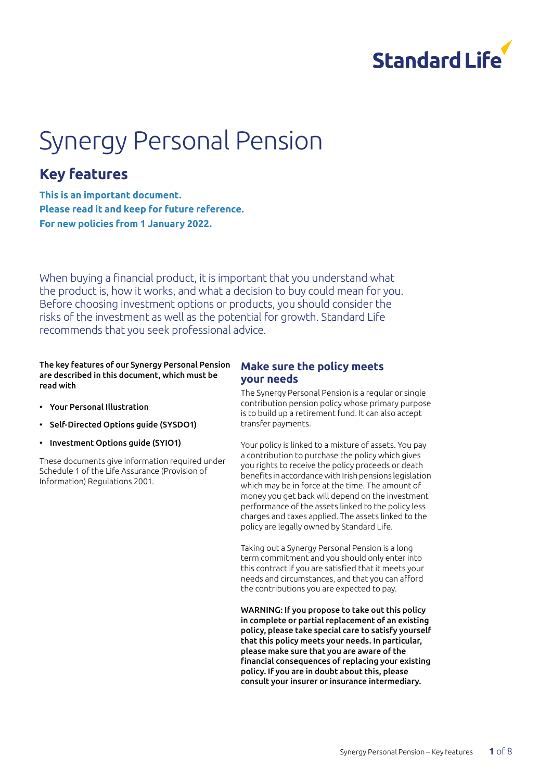

# Synergy Personal Pension

### **Key features**

**This is an important document. Please read it and keep for future reference. For new policies from 1 January 2022.**

When buying a financial product, it is important that you understand what the product is, how it works, and what a decision to buy could mean for you. Before choosing investment options or products, you should consider the risks of the investment as well as the potential for growth. Standard Life recommends that you seek professional advice.

#### The key features of our Synergy Personal Pension are described in this document, which must be read with

- Your Personal Illustration
- Self-Directed Options guide (SYSDO1)
- Investment Options guide (SYIO1)

These documents give information required under Schedule 1 of the Life Assurance (Provision of Information) Regulations 2001.

#### **Make sure the policy meets your needs**

The Synergy Personal Pension is a regular or single contribution pension policy whose primary purpose is to build up a retirement fund. It can also accept transfer payments.

Your policy is linked to a mixture of assets. You pay a contribution to purchase the policy which gives you rights to receive the policy proceeds or death benefits in accordance with Irish pensions legislation which may be in force at the time. The amount of money you get back will depend on the investment performance of the assets linked to the policy less charges and taxes applied. The assets linked to the policy are legally owned by Standard Life.

Taking out a Synergy Personal Pension is a long term commitment and you should only enter into this contract if you are satisfied that it meets your needs and circumstances, and that you can afford the contributions you are expected to pay.

WARNING: If you propose to take out this policy in complete or partial replacement of an existing policy, please take special care to satisfy yourself that this policy meets your needs. In particular, please make sure that you are aware of the financial consequences of replacing your existing policy. If you are in doubt about this, please consult your insurer or insurance intermediary.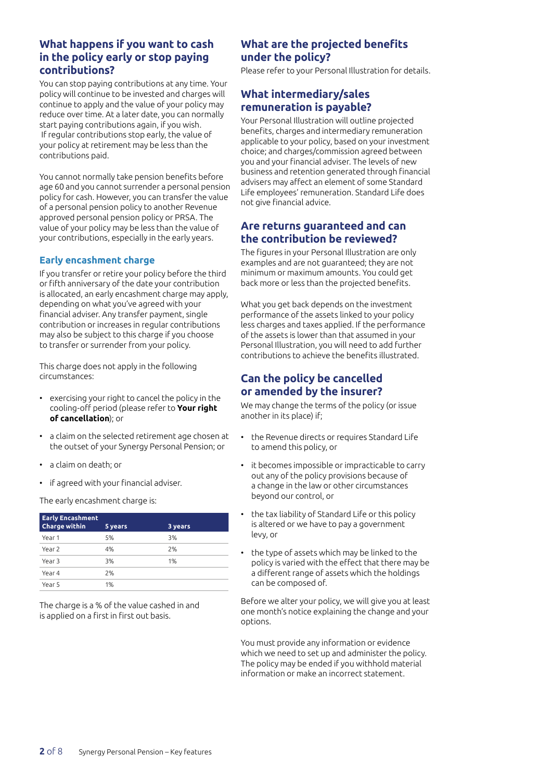#### **What happens if you want to cash in the policy early or stop paying contributions?**

You can stop paying contributions at any time. Your policy will continue to be invested and charges will continue to apply and the value of your policy may reduce over time. At a later date, you can normally start paying contributions again, if you wish. If regular contributions stop early, the value of your policy at retirement may be less than the contributions paid.

You cannot normally take pension benefits before age 60 and you cannot surrender a personal pension policy for cash. However, you can transfer the value of a personal pension policy to another Revenue approved personal pension policy or PRSA. The value of your policy may be less than the value of your contributions, especially in the early years.

#### **Early encashment charge**

If you transfer or retire your policy before the third or fifth anniversary of the date your contribution is allocated, an early encashment charge may apply, depending on what you've agreed with your financial adviser. Any transfer payment, single contribution or increases in regular contributions may also be subject to this charge if you choose to transfer or surrender from your policy.

This charge does not apply in the following circumstances:

- exercising your right to cancel the policy in the cooling-off period (please refer to **Your right of cancellation**); or
- a claim on the selected retirement age chosen at the outset of your Synergy Personal Pension; or
- a claim on death; or
- if agreed with your financial adviser.

The early encashment charge is:

| <b>Early Encashment</b><br><b>Charge within</b> | 5 years | 3 years |
|-------------------------------------------------|---------|---------|
| Year 1                                          | 5%      | 3%      |
| Year 2                                          | 4%      | 2%      |
| Year 3                                          | 3%      | 1%      |
| Year 4                                          | 2%      |         |
| Year 5                                          | 1%      |         |

The charge is a % of the value cashed in and is applied on a first in first out basis.

#### **What are the projected benefits under the policy?**

Please refer to your Personal Illustration for details.

#### **What intermediary/sales remuneration is payable?**

Your Personal Illustration will outline projected benefits, charges and intermediary remuneration applicable to your policy, based on your investment choice; and charges/commission agreed between you and your financial adviser. The levels of new business and retention generated through financial advisers may affect an element of some Standard Life employees' remuneration. Standard Life does not give financial advice.

#### **Are returns guaranteed and can the contribution be reviewed?**

The figures in your Personal Illustration are only examples and are not guaranteed; they are not minimum or maximum amounts. You could get back more or less than the projected benefits.

What you get back depends on the investment performance of the assets linked to your policy less charges and taxes applied. If the performance of the assets is lower than that assumed in your Personal Illustration, you will need to add further contributions to achieve the benefits illustrated.

#### **Can the policy be cancelled or amended by the insurer?**

We may change the terms of the policy (or issue another in its place) if;

- the Revenue directs or requires Standard Life to amend this policy, or
- it becomes impossible or impracticable to carry out any of the policy provisions because of a change in the law or other circumstances beyond our control, or
- the tax liability of Standard Life or this policy is altered or we have to pay a government levy, or
- the type of assets which may be linked to the policy is varied with the effect that there may be a different range of assets which the holdings can be composed of.

Before we alter your policy, we will give you at least one month's notice explaining the change and your options.

You must provide any information or evidence which we need to set up and administer the policy. The policy may be ended if you withhold material information or make an incorrect statement.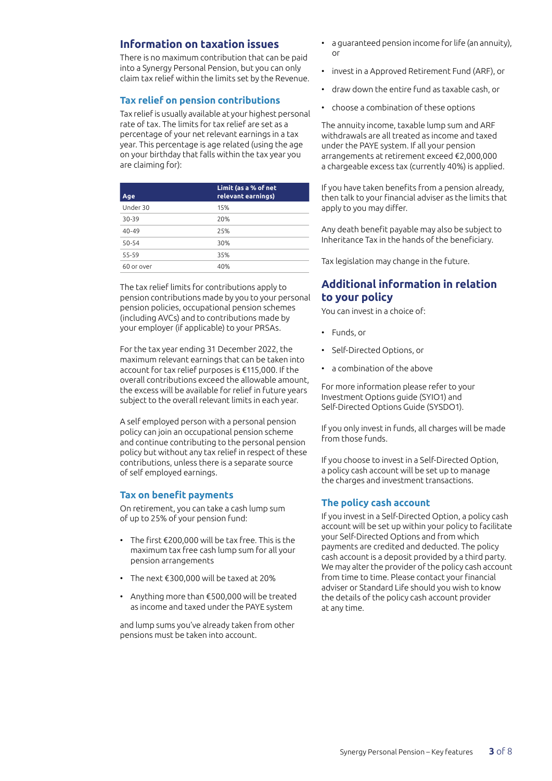#### **Information on taxation issues**

There is no maximum contribution that can be paid into a Synergy Personal Pension, but you can only claim tax relief within the limits set by the Revenue.

#### **Tax relief on pension contributions**

Tax relief is usually available at your highest personal rate of tax. The limits for tax relief are set as a percentage of your net relevant earnings in a tax year. This percentage is age related (using the age on your birthday that falls within the tax year you are claiming for):

| Age        | Limit (as a % of net<br>relevant earnings) |
|------------|--------------------------------------------|
| Under 30   | 15%                                        |
| 30-39      | 20%                                        |
| $40 - 49$  | 25%                                        |
| $50 - 54$  | 30%                                        |
| 55-59      | 35%                                        |
| 60 or over | 40%                                        |

The tax relief limits for contributions apply to pension contributions made by you to your personal pension policies, occupational pension schemes (including AVCs) and to contributions made by your employer (if applicable) to your PRSAs.

For the tax year ending 31 December 2022, the maximum relevant earnings that can be taken into account for tax relief purposes is €115,000. If the overall contributions exceed the allowable amount, the excess will be available for relief in future years subject to the overall relevant limits in each year.

A self employed person with a personal pension policy can join an occupational pension scheme and continue contributing to the personal pension policy but without any tax relief in respect of these contributions, unless there is a separate source of self employed earnings.

#### **Tax on benefit payments**

On retirement, you can take a cash lump sum of up to 25% of your pension fund:

- The first €200,000 will be tax free. This is the maximum tax free cash lump sum for all your pension arrangements
- The next €300,000 will be taxed at 20%
- Anything more than €500,000 will be treated as income and taxed under the PAYE system

and lump sums you've already taken from other pensions must be taken into account.

- a guaranteed pension income for life (an annuity), or
- invest in a Approved Retirement Fund (ARF), or
- draw down the entire fund as taxable cash, or
- choose a combination of these options

The annuity income, taxable lump sum and ARF withdrawals are all treated as income and taxed under the PAYE system. If all your pension arrangements at retirement exceed €2,000,000 a chargeable excess tax (currently 40%) is applied.

If you have taken benefits from a pension already, then talk to your financial adviser as the limits that apply to you may differ.

Any death benefit payable may also be subject to Inheritance Tax in the hands of the beneficiary.

Tax legislation may change in the future.

#### **Additional information in relation to your policy**

You can invest in a choice of:

- Funds, or
- Self-Directed Options, or
- a combination of the above

For more information please refer to your Investment Options guide (SYIO1) and Self-Directed Options Guide (SYSDO1).

If you only invest in funds, all charges will be made from those funds.

If you choose to invest in a Self-Directed Option, a policy cash account will be set up to manage the charges and investment transactions.

#### **The policy cash account**

If you invest in a Self-Directed Option, a policy cash account will be set up within your policy to facilitate your Self-Directed Options and from which payments are credited and deducted. The policy cash account is a deposit provided by a third party. We may alter the provider of the policy cash account from time to time. Please contact your financial adviser or Standard Life should you wish to know the details of the policy cash account provider at any time.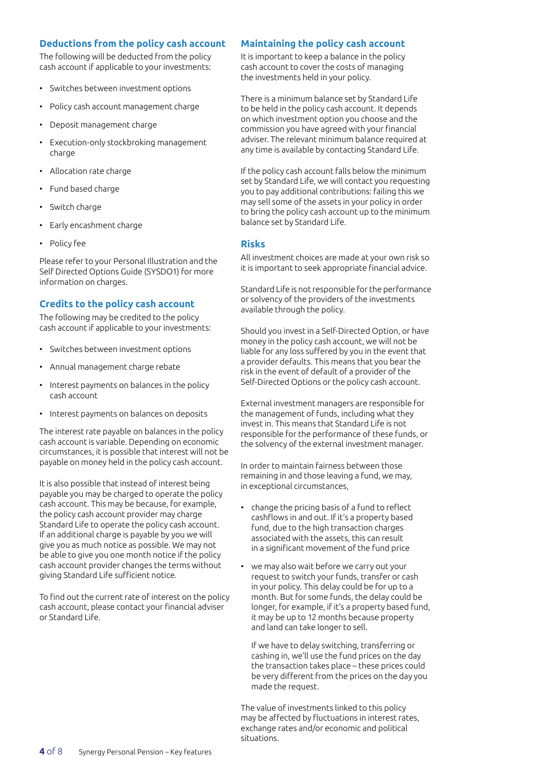#### **Deductions from the policy cash account**

The following will be deducted from the policy cash account if applicable to your investments:

- Switches between investment options
- Policy cash account management charge
- Deposit management charge
- Execution-only stockbroking management charge
- Allocation rate charge
- Fund based charge
- Switch charge
- Early encashment charge
- Policy fee

Please refer to your Personal Illustration and the Self Directed Options Guide (SYSDO1) for more information on charges.

#### **Credits to the policy cash account**

The following may be credited to the policy cash account if applicable to your investments:

- Switches between investment options
- Annual management charge rebate
- Interest payments on balances in the policy cash account
- Interest payments on balances on deposits

The interest rate payable on balances in the policy cash account is variable. Depending on economic circumstances, it is possible that interest will not be payable on money held in the policy cash account.

It is also possible that instead of interest being payable you may be charged to operate the policy cash account. This may be because, for example, the policy cash account provider may charge Standard Life to operate the policy cash account. If an additional charge is payable by you we will give you as much notice as possible. We may not be able to give you one month notice if the policy cash account provider changes the terms without giving Standard Life sufficient notice.

To find out the current rate of interest on the policy cash account, please contact your financial adviser or Standard Life.

#### **Maintaining the policy cash account**

It is important to keep a balance in the policy cash account to cover the costs of managing the investments held in your policy.

There is a minimum balance set by Standard Life to be held in the policy cash account. It depends on which investment option you choose and the commission you have agreed with your financial adviser. The relevant minimum balance required at any time is available by contacting Standard Life.

If the policy cash account falls below the minimum set by Standard Life, we will contact you requesting you to pay additional contributions: failing this we may sell some of the assets in your policy in order to bring the policy cash account up to the minimum balance set by Standard Life.

#### **Risks**

All investment choices are made at your own risk so it is important to seek appropriate financial advice.

Standard Life is not responsible for the performance or solvency of the providers of the investments available through the policy.

Should you invest in a Self-Directed Option, or have money in the policy cash account, we will not be liable for any loss suffered by you in the event that a provider defaults. This means that you bear the risk in the event of default of a provider of the Self-Directed Options or the policy cash account.

External investment managers are responsible for the management of funds, including what they invest in. This means that Standard Life is not responsible for the performance of these funds, or the solvency of the external investment manager.

In order to maintain fairness between those remaining in and those leaving a fund, we may, in exceptional circumstances,

- change the pricing basis of a fund to reflect cashflows in and out. If it's a property based fund, due to the high transaction charges associated with the assets, this can result in a significant movement of the fund price
- we may also wait before we carry out your request to switch your funds, transfer or cash in your policy. This delay could be for up to a month. But for some funds, the delay could be longer, for example, if it's a property based fund, it may be up to 12 months because property and land can take longer to sell.

If we have to delay switching, transferring or cashing in, we'll use the fund prices on the day the transaction takes place – these prices could be very different from the prices on the day you made the request.

The value of investments linked to this policy may be affected by fluctuations in interest rates, exchange rates and/or economic and political situations.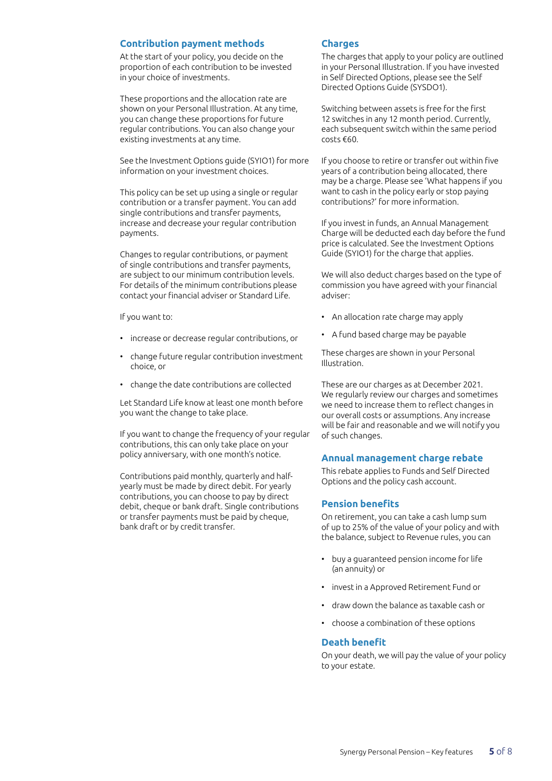#### **Contribution payment methods**

At the start of your policy, you decide on the proportion of each contribution to be invested in your choice of investments.

These proportions and the allocation rate are shown on your Personal Illustration. At any time, you can change these proportions for future regular contributions. You can also change your existing investments at any time.

See the Investment Options guide (SYIO1) for more information on your investment choices.

This policy can be set up using a single or regular contribution or a transfer payment. You can add single contributions and transfer payments, increase and decrease your regular contribution payments.

Changes to regular contributions, or payment of single contributions and transfer payments, are subject to our minimum contribution levels. For details of the minimum contributions please contact your financial adviser or Standard Life.

If you want to:

- increase or decrease regular contributions, or
- change future regular contribution investment choice, or
- change the date contributions are collected

Let Standard Life know at least one month before you want the change to take place.

If you want to change the frequency of your regular contributions, this can only take place on your policy anniversary, with one month's notice.

Contributions paid monthly, quarterly and halfyearly must be made by direct debit. For yearly contributions, you can choose to pay by direct debit, cheque or bank draft. Single contributions or transfer payments must be paid by cheque, bank draft or by credit transfer.

#### **Charges**

The charges that apply to your policy are outlined in your Personal Illustration. If you have invested in Self Directed Options, please see the Self Directed Options Guide (SYSDO1).

Switching between assets is free for the first 12 switches in any 12 month period. Currently, each subsequent switch within the same period costs €60.

If you choose to retire or transfer out within five years of a contribution being allocated, there may be a charge. Please see 'What happens if you want to cash in the policy early or stop paying contributions?' for more information.

If you invest in funds, an Annual Management Charge will be deducted each day before the fund price is calculated. See the Investment Options Guide (SYIO1) for the charge that applies.

We will also deduct charges based on the type of commission you have agreed with your financial adviser:

- An allocation rate charge may apply
- A fund based charge may be payable

These charges are shown in your Personal Illustration.

These are our charges as at December 2021. We regularly review our charges and sometimes we need to increase them to reflect changes in our overall costs or assumptions. Any increase will be fair and reasonable and we will notify you of such changes.

#### **Annual management charge rebate**

This rebate applies to Funds and Self Directed Options and the policy cash account.

#### **Pension benefits**

On retirement, you can take a cash lump sum of up to 25% of the value of your policy and with the balance, subject to Revenue rules, you can

- buy a guaranteed pension income for life (an annuity) or
- invest in a Approved Retirement Fund or
- draw down the balance as taxable cash or
- choose a combination of these options

#### **Death benefit**

On your death, we will pay the value of your policy to your estate.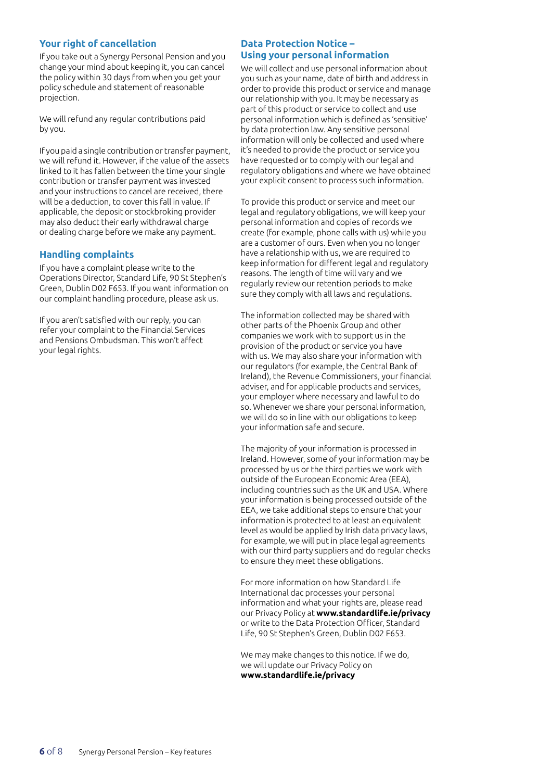#### **Your right of cancellation**

If you take out a Synergy Personal Pension and you change your mind about keeping it, you can cancel the policy within 30 days from when you get your policy schedule and statement of reasonable projection.

We will refund any regular contributions paid by you.

If you paid a single contribution or transfer payment, we will refund it. However, if the value of the assets linked to it has fallen between the time your single contribution or transfer payment was invested and your instructions to cancel are received, there will be a deduction, to cover this fall in value. If applicable, the deposit or stockbroking provider may also deduct their early withdrawal charge or dealing charge before we make any payment.

#### **Handling complaints**

If you have a complaint please write to the Operations Director, Standard Life, 90 St Stephen's Green, Dublin D02 F653. If you want information on our complaint handling procedure, please ask us.

If you aren't satisfied with our reply, you can refer your complaint to the Financial Services and Pensions Ombudsman. This won't affect your legal rights.

#### **Data Protection Notice – Using your personal information**

We will collect and use personal information about you such as your name, date of birth and address in order to provide this product or service and manage our relationship with you. It may be necessary as part of this product or service to collect and use personal information which is defined as 'sensitive' by data protection law. Any sensitive personal information will only be collected and used where it's needed to provide the product or service you have requested or to comply with our legal and regulatory obligations and where we have obtained your explicit consent to process such information.

To provide this product or service and meet our legal and regulatory obligations, we will keep your personal information and copies of records we create (for example, phone calls with us) while you are a customer of ours. Even when you no longer have a relationship with us, we are required to keep information for different legal and regulatory reasons. The length of time will vary and we regularly review our retention periods to make sure they comply with all laws and regulations.

The information collected may be shared with other parts of the Phoenix Group and other companies we work with to support us in the provision of the product or service you have with us. We may also share your information with our regulators (for example, the Central Bank of Ireland), the Revenue Commissioners, your financial adviser, and for applicable products and services, your employer where necessary and lawful to do so. Whenever we share your personal information, we will do so in line with our obligations to keep your information safe and secure.

The majority of your information is processed in Ireland. However, some of your information may be processed by us or the third parties we work with outside of the European Economic Area (EEA), including countries such as the UK and USA. Where your information is being processed outside of the EEA, we take additional steps to ensure that your information is protected to at least an equivalent level as would be applied by Irish data privacy laws, for example, we will put in place legal agreements with our third party suppliers and do regular checks to ensure they meet these obligations.

For more information on how Standard Life International dac processes your personal information and what your rights are, please read our Privacy Policy at **www.standardlife.ie/privacy** or write to the Data Protection Officer, Standard Life, 90 St Stephen's Green, Dublin D02 F653.

We may make changes to this notice. If we do, we will update our Privacy Policy on **www.standardlife.ie/privacy**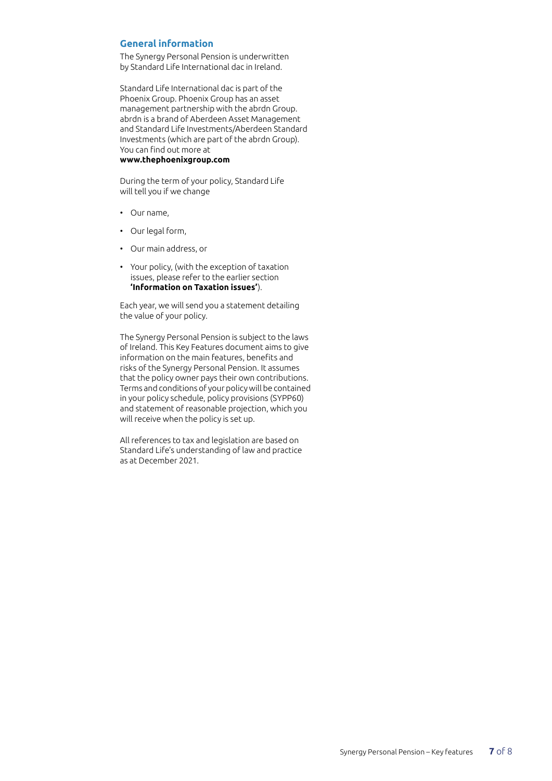#### **General information**

The Synergy Personal Pension is underwritten by Standard Life International dac in Ireland.

Standard Life International dac is part of the Phoenix Group. Phoenix Group has an asset management partnership with the abrdn Group. abrdn is a brand of Aberdeen Asset Management and Standard Life Investments/Aberdeen Standard Investments (which are part of the abrdn Group). You can find out more at

#### **www.thephoenixgroup.com**

During the term of your policy, Standard Life will tell you if we change

- Our name,
- Our legal form,
- Our main address, or
- Your policy, (with the exception of taxation issues, please refer to the earlier section **'Information on Taxation issues'**).

Each year, we will send you a statement detailing the value of your policy.

The Synergy Personal Pension is subject to the laws of Ireland. This Key Features document aims to give information on the main features, benefits and risks of the Synergy Personal Pension. It assumes that the policy owner pays their own contributions. Terms and conditions of your policy will be contained in your policy schedule, policy provisions (SYPP60) and statement of reasonable projection, which you will receive when the policy is set up.

All references to tax and legislation are based on Standard Life's understanding of law and practice as at December 2021.